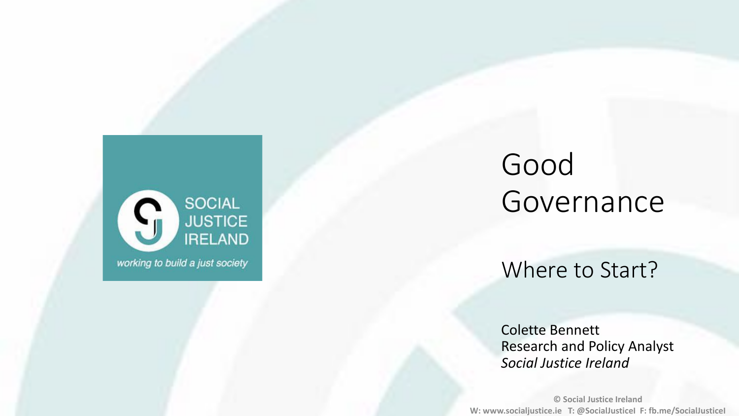

### Good Governance

Where to Start?

Colette Bennett Research and Policy Analyst *Social Justice Ireland*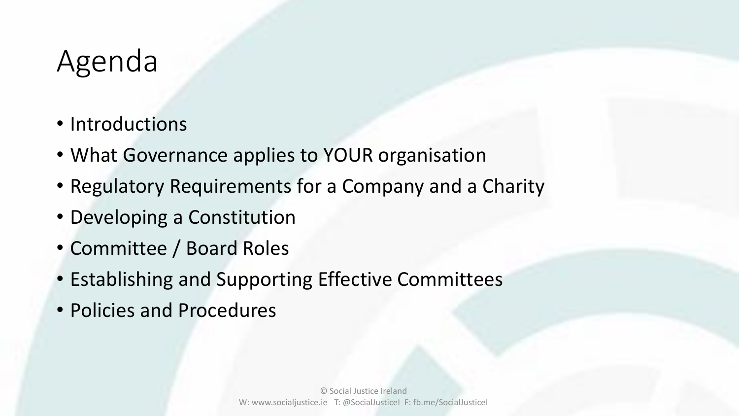### Agenda

- Introductions
- What Governance applies to YOUR organisation
- Regulatory Requirements for a Company and a Charity
- Developing a Constitution
- Committee / Board Roles
- Establishing and Supporting Effective Committees
- Policies and Procedures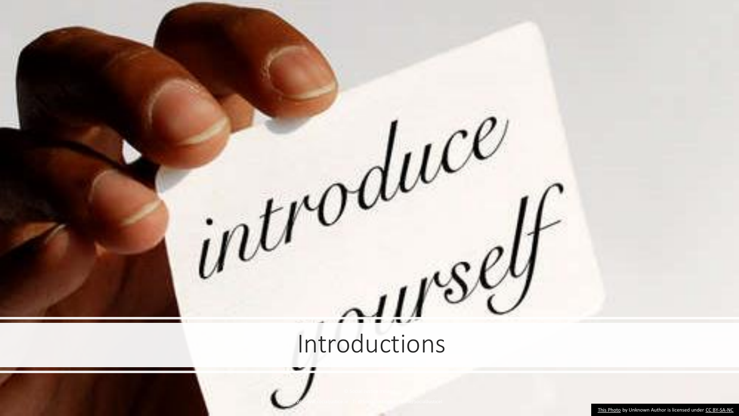

Introductions

W: www.socialjustice.ie T: @SocialJusticeI F: fb.me/SocialJusticeI

[This Photo](http://www.simonefavaro.it/2013/12/17/how-an-introduction-in-connection-request-makes-the-difference/) by Unknown Author is licensed under [CC BY-SA-NC](https://creativecommons.org/licenses/by-nc-sa/3.0/)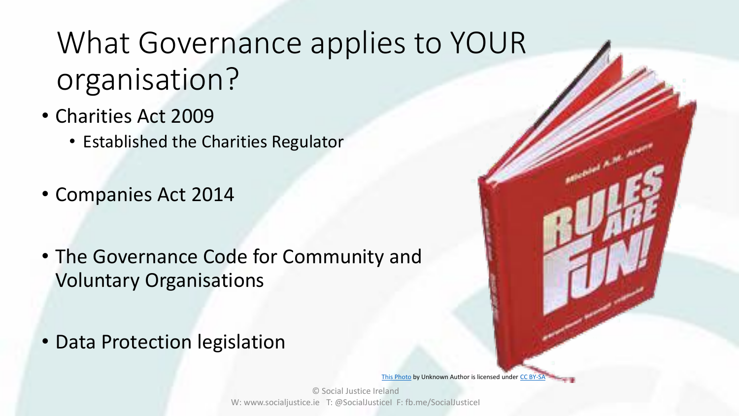- Charities Act 2009
	- Established the Charities Regulator
- Companies Act 2014
- The Governance Code for Community and Voluntary Organisations
- Data Protection legislation

[This Photo](http://www.italianmagicjudges.net/index.php?p=articoli&id=1579) by Unknown Author is licensed under [CC BY-SA](https://creativecommons.org/licenses/by-sa/3.0/)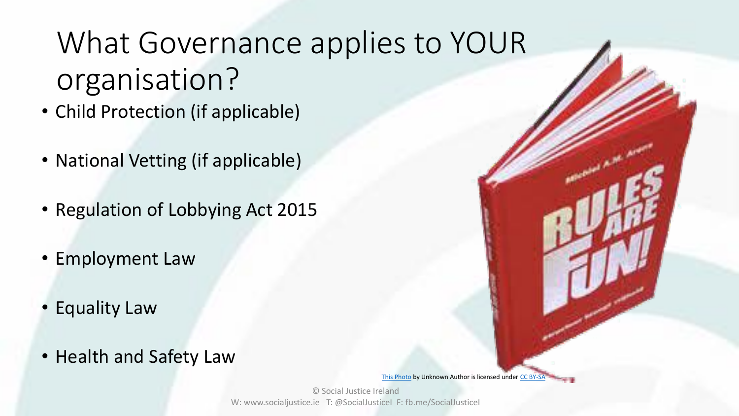- Child Protection (if applicable)
- National Vetting (if applicable)
- Regulation of Lobbying Act 2015
- Employment Law
- Equality Law
- Health and Safety Law

[This Photo](http://www.italianmagicjudges.net/index.php?p=articoli&id=1579) by Unknown Author is licensed under [CC BY-SA](https://creativecommons.org/licenses/by-sa/3.0/)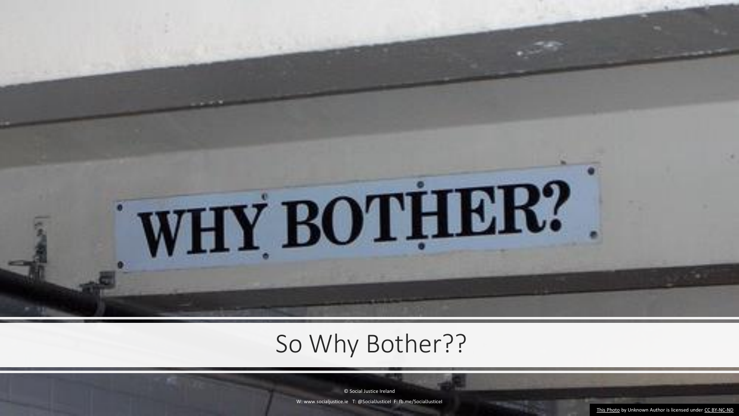

### So Why Bother??

© Social Justice Ireland

W: www.socialjustice.ie T: @SocialJusticeI F: fb.me/SocialJusticeI

[This Photo](http://www.flickr.com/photos/minow/137868314/) by Unknown Author is licensed under [CC BY-NC-ND](https://creativecommons.org/licenses/by-nc-nd/3.0/)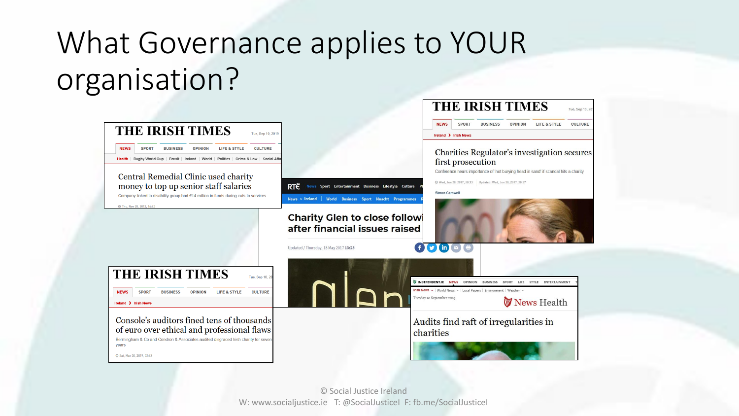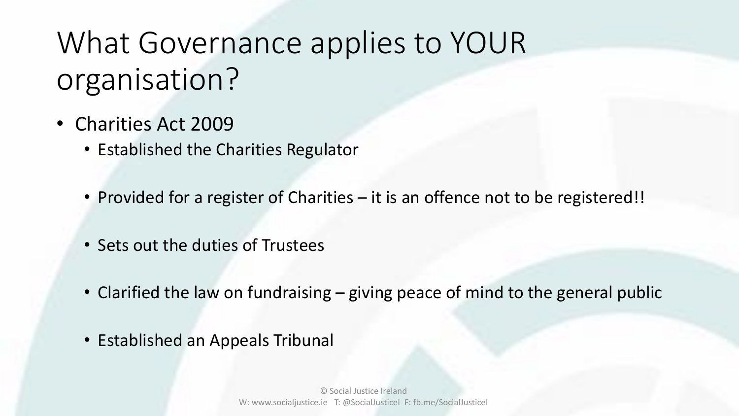- Charities Act 2009
	- Established the Charities Regulator
	- Provided for a register of Charities it is an offence not to be registered!!
	- Sets out the duties of Trustees
	- Clarified the law on fundraising giving peace of mind to the general public
	- Established an Appeals Tribunal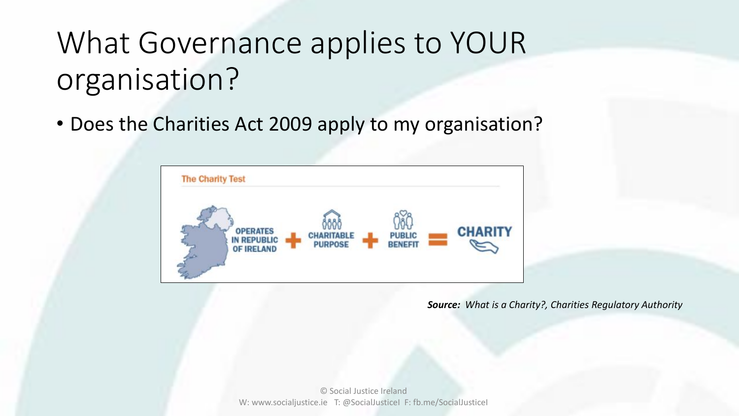• Does the Charities Act 2009 apply to my organisation?



*Source: What is a Charity?, Charities Regulatory Authority*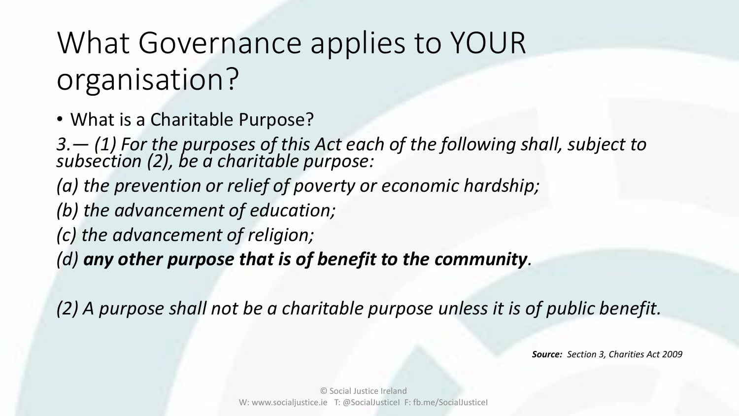• What is a Charitable Purpose?

*3.— (1) For the purposes of this Act each of the following shall, subject to subsection (2), be a charitable purpose:* 

- *(a) the prevention or relief of poverty or economic hardship;*
- *(b) the advancement of education;*
- *(c) the advancement of religion;*

*(d) any other purpose that is of benefit to the community.* 

*(2) A purpose shall not be a charitable purpose unless it is of public benefit.* 

*Source: Section 3, Charities Act 2009*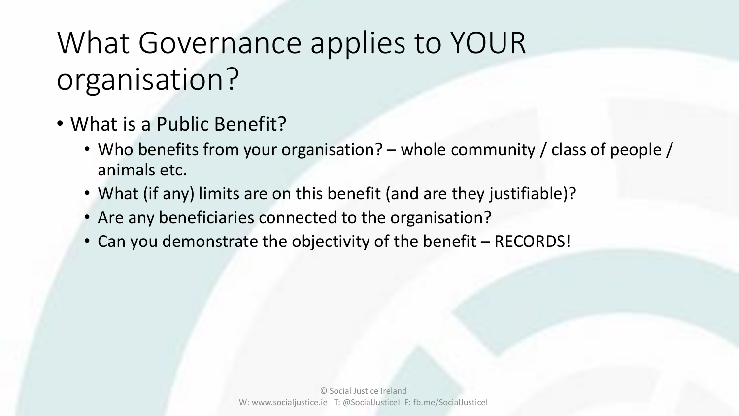- What is a Public Benefit?
	- Who benefits from your organisation? whole community / class of people / animals etc.
	- What (if any) limits are on this benefit (and are they justifiable)?
	- Are any beneficiaries connected to the organisation?
	- Can you demonstrate the objectivity of the benefit RECORDS!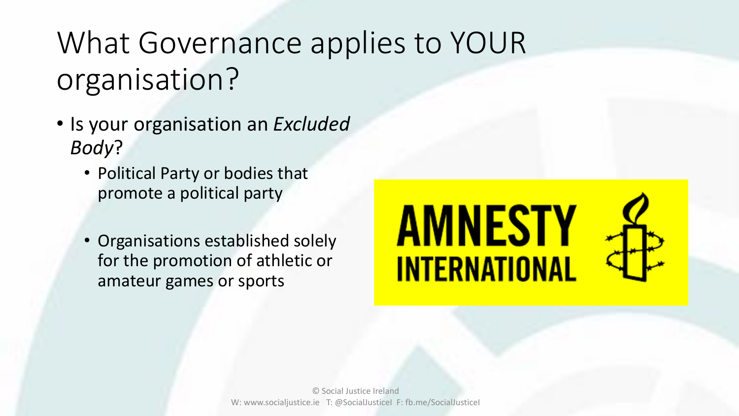- Is your organisation an *Excluded Body*?
	- Political Party or bodies that promote a political party
	- Organisations established solely for the promotion of athletic or amateur games or sports

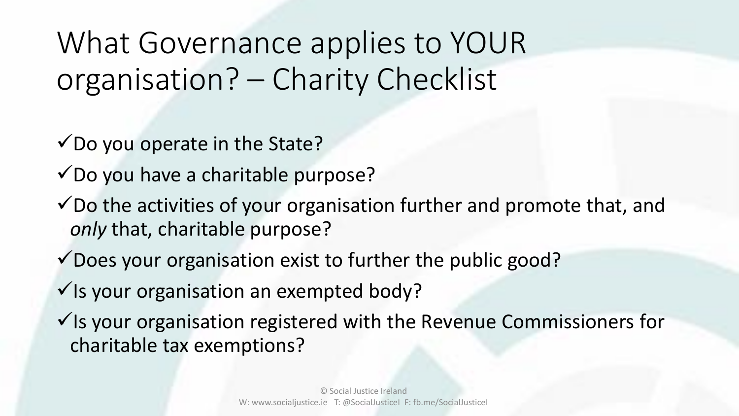What Governance applies to YOUR organisation? – Charity Checklist

 $\checkmark$  Do you operate in the State?

 $\checkmark$ Do you have a charitable purpose?

- $\checkmark$  Do the activities of your organisation further and promote that, and *only* that, charitable purpose?
- $\checkmark$  Does your organisation exist to further the public good?

 $\checkmark$  Is your organisation an exempted body?

 $\checkmark$  Is your organisation registered with the Revenue Commissioners for charitable tax exemptions?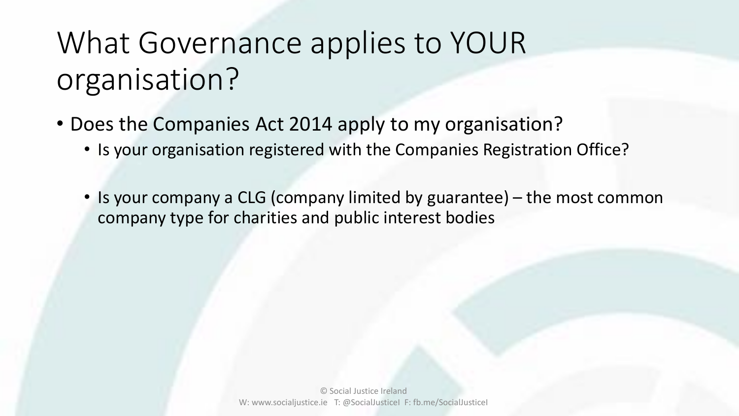- Does the Companies Act 2014 apply to my organisation?
	- Is your organisation registered with the Companies Registration Office?
	- Is your company a CLG (company limited by guarantee) the most common company type for charities and public interest bodies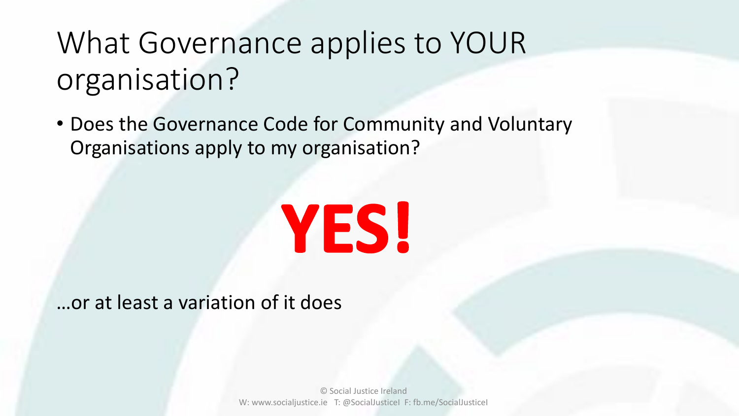• Does the Governance Code for Community and Voluntary Organisations apply to my organisation?

# **YES!**

### …or at least a variation of it does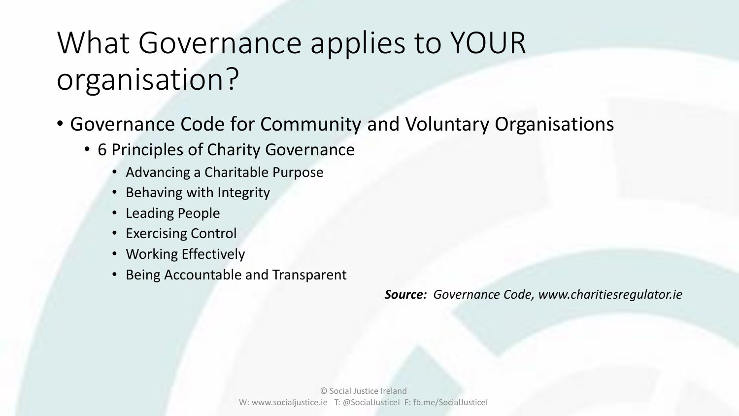- Governance Code for Community and Voluntary Organisations
	- 6 Principles of Charity Governance
		- Advancing a Charitable Purpose
		- Behaving with Integrity
		- Leading People
		- Exercising Control
		- Working Effectively
		- Being Accountable and Transparent

*Source: Governance Code, www.charitiesregulator.ie*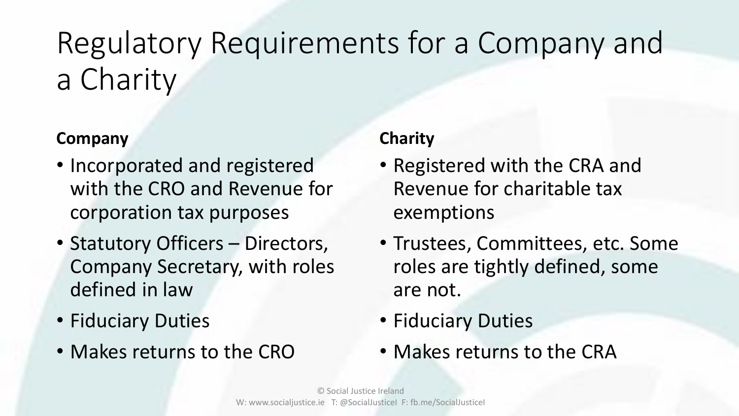## Regulatory Requirements for a Company and a Charity

### **Company**

- Incorporated and registered with the CRO and Revenue for corporation tax purposes
- Statutory Officers Directors, Company Secretary, with roles defined in law
- Fiduciary Duties
- Makes returns to the CRO

#### **Charity**

- Registered with the CRA and Revenue for charitable tax exemptions
- Trustees, Committees, etc. Some roles are tightly defined, some are not.
- Fiduciary Duties
- Makes returns to the CRA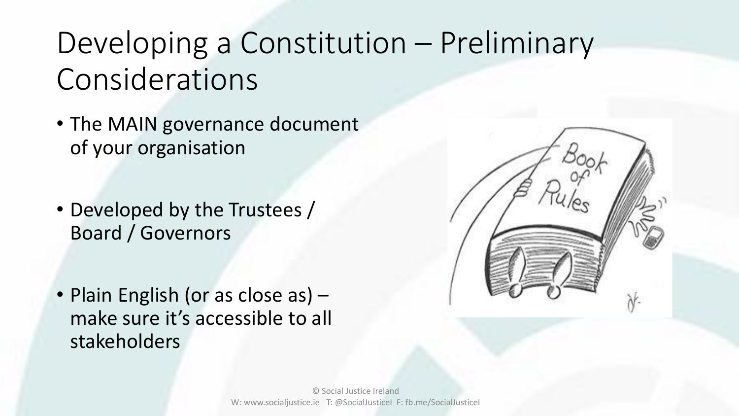### Developing a Constitution – Preliminary Considerations

- The MAIN governance document of your organisation
- Developed by the Trustees / Board / Governors
- Plain English (or as close as) make sure it's accessible to all stakeholders

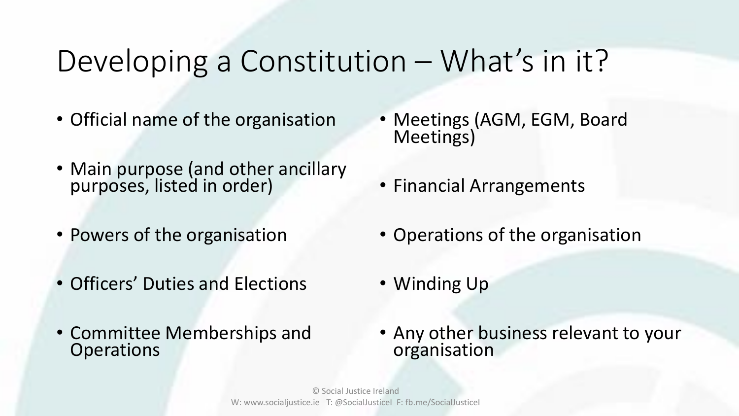### Developing a Constitution – What's in it?

- Official name of the organisation
- Main purpose (and other ancillary purposes, listed in order)
- Powers of the organisation
- Officers' Duties and Elections
- Committee Memberships and **Operations**
- Meetings (AGM, EGM, Board Meetings)
- Financial Arrangements
- Operations of the organisation
- Winding Up
- Any other business relevant to your organisation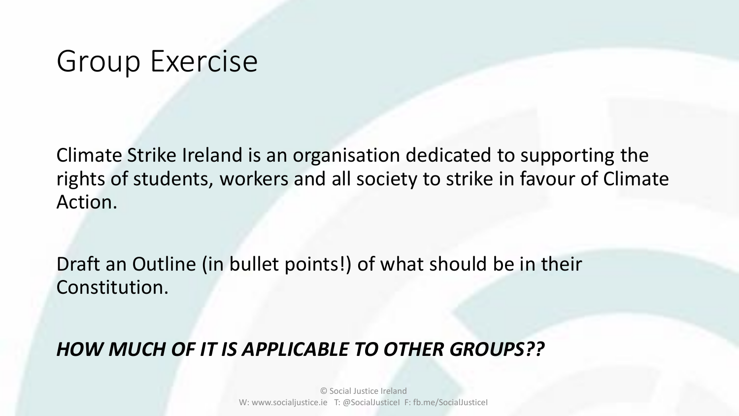### Group Exercise

Climate Strike Ireland is an organisation dedicated to supporting the rights of students, workers and all society to strike in favour of Climate Action.

Draft an Outline (in bullet points!) of what should be in their Constitution.

### *HOW MUCH OF IT IS APPLICABLE TO OTHER GROUPS??*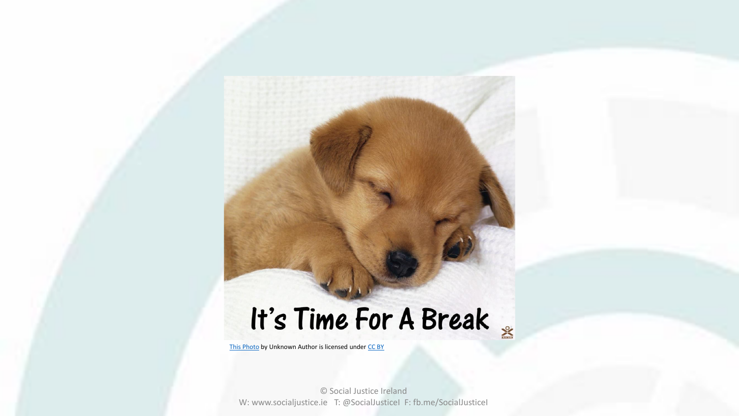## It's Time For A Break

[This Photo](https://phoenixajournal.wordpress.com/2012/01/03/i-was-hoping-for-a-break/) by Unknown Author is licensed under [CC BY](https://creativecommons.org/licenses/by/3.0/)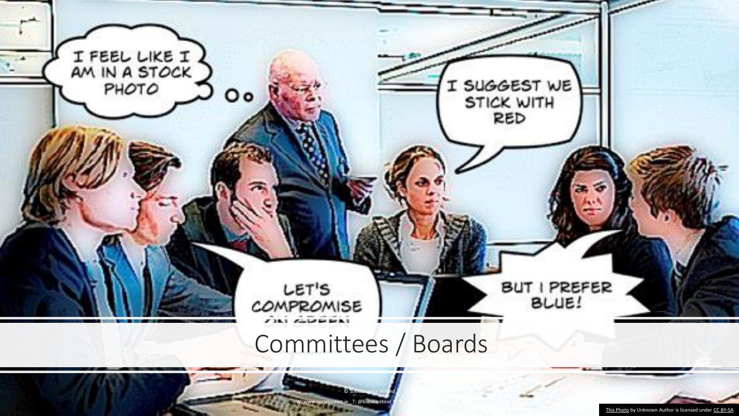

[This Photo](https://boagworld.com/digital-strategy/design-by-committee/) by Unknown Author is licensed under [CC BY-SA](https://creativecommons.org/licenses/by-sa/3.0/)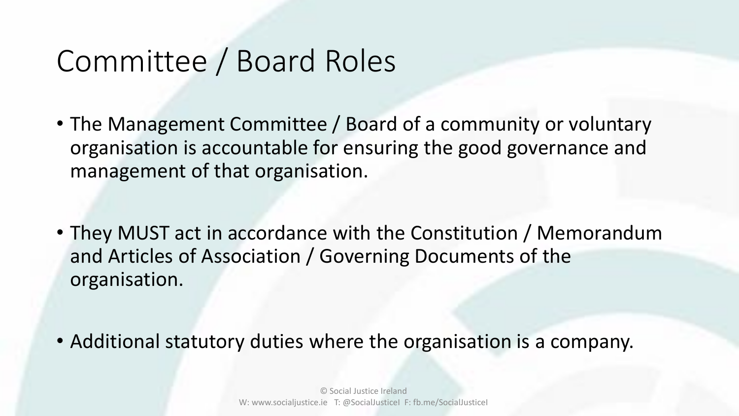- The Management Committee / Board of a community or voluntary organisation is accountable for ensuring the good governance and management of that organisation.
- They MUST act in accordance with the Constitution / Memorandum and Articles of Association / Governing Documents of the organisation.
- Additional statutory duties where the organisation is a company.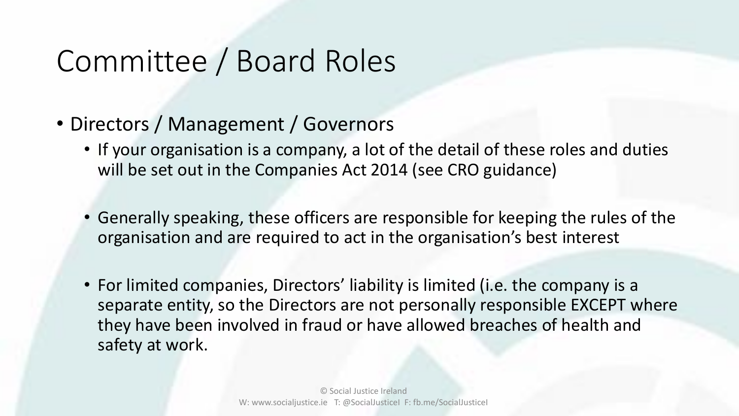- Directors / Management / Governors
	- If your organisation is a company, a lot of the detail of these roles and duties will be set out in the Companies Act 2014 (see CRO guidance)
	- Generally speaking, these officers are responsible for keeping the rules of the organisation and are required to act in the organisation's best interest
	- For limited companies, Directors' liability is limited (i.e. the company is a separate entity, so the Directors are not personally responsible EXCEPT where they have been involved in fraud or have allowed breaches of health and safety at work.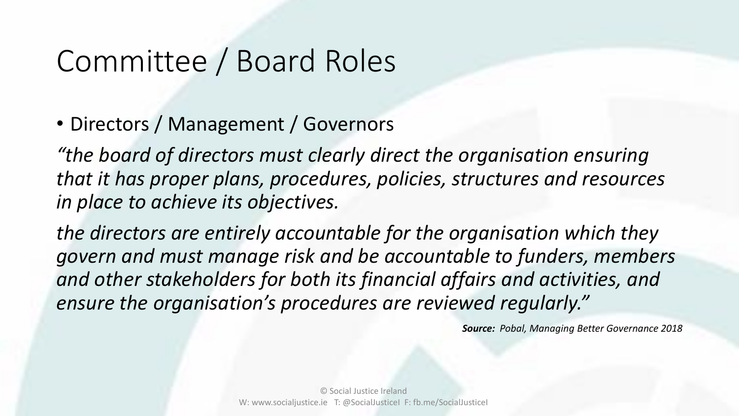• Directors / Management / Governors

*"the board of directors must clearly direct the organisation ensuring that it has proper plans, procedures, policies, structures and resources in place to achieve its objectives.* 

*the directors are entirely accountable for the organisation which they govern and must manage risk and be accountable to funders, members and other stakeholders for both its financial affairs and activities, and ensure the organisation's procedures are reviewed regularly."*

*Source: Pobal, Managing Better Governance 2018*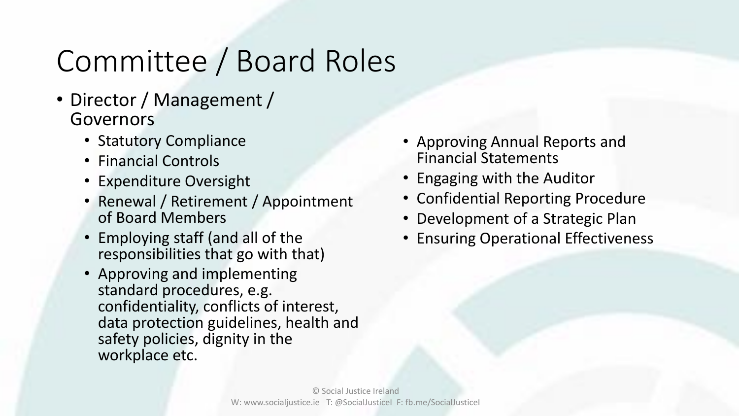- Director / Management / Governors
	- Statutory Compliance
	- Financial Controls
	- Expenditure Oversight
	- Renewal / Retirement / Appointment of Board Members
	- Employing staff (and all of the responsibilities that go with that)
	- Approving and implementing standard procedures, e.g. confidentiality, conflicts of interest, data protection guidelines, health and safety policies, dignity in the workplace etc.
- Approving Annual Reports and Financial Statements
- Engaging with the Auditor
- Confidential Reporting Procedure
- Development of a Strategic Plan
- Ensuring Operational Effectiveness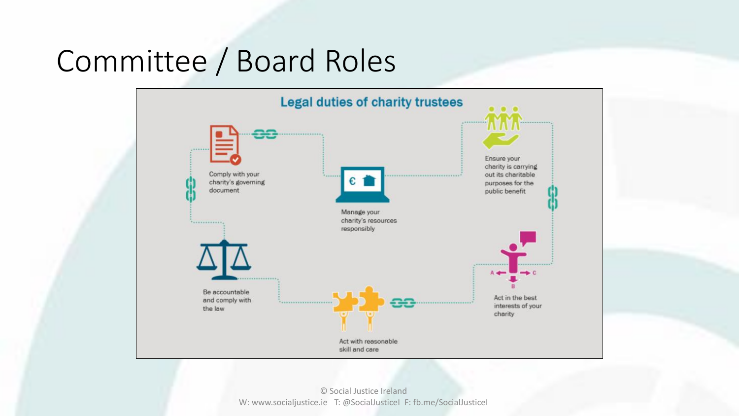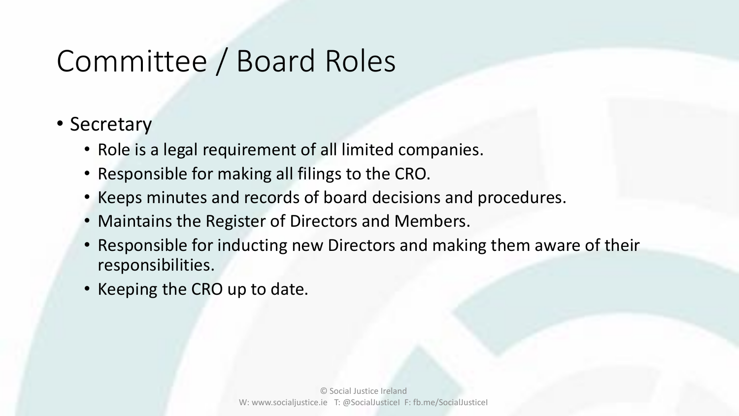- Secretary
	- Role is a legal requirement of all limited companies.
	- Responsible for making all filings to the CRO.
	- Keeps minutes and records of board decisions and procedures.
	- Maintains the Register of Directors and Members.
	- Responsible for inducting new Directors and making them aware of their responsibilities.
	- Keeping the CRO up to date.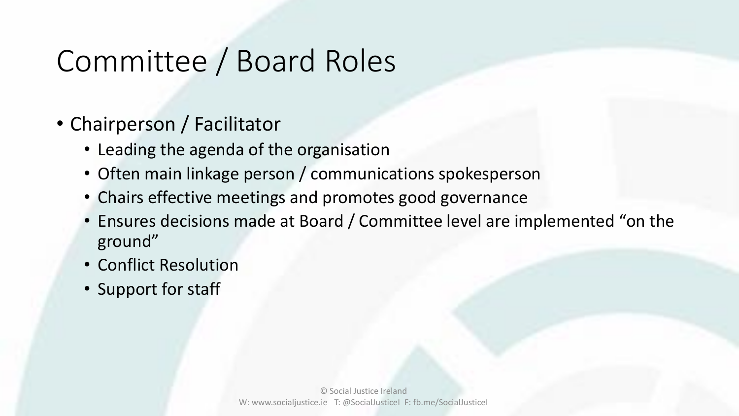- Chairperson / Facilitator
	- Leading the agenda of the organisation
	- Often main linkage person / communications spokesperson
	- Chairs effective meetings and promotes good governance
	- Ensures decisions made at Board / Committee level are implemented "on the ground"
	- Conflict Resolution
	- Support for staff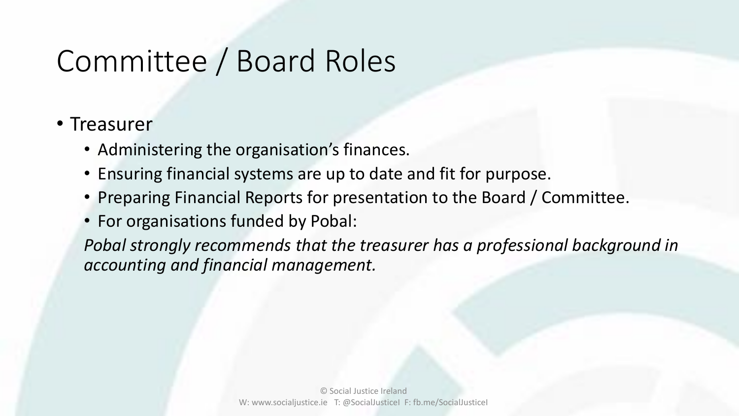### • Treasurer

- Administering the organisation's finances.
- Ensuring financial systems are up to date and fit for purpose.
- Preparing Financial Reports for presentation to the Board / Committee.
- For organisations funded by Pobal:

*Pobal strongly recommends that the treasurer has a professional background in accounting and financial management.*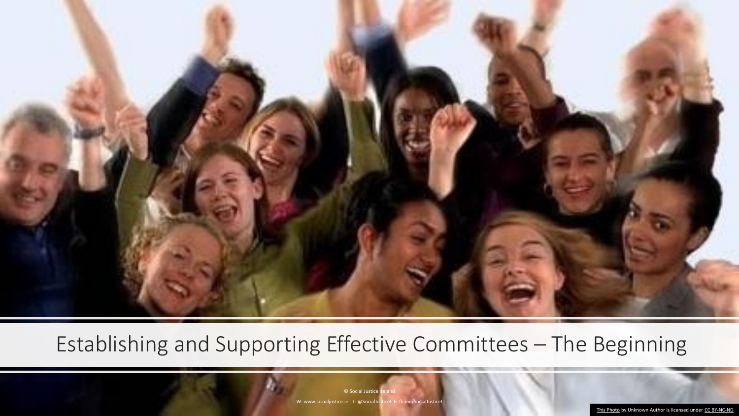

### Establishing and Supporting Effective Committees – The Beginning

© Social Justice I W: www.socialjustice.ie T: @SocialJusticeI F: fb.me/SocialJustice

[This Photo](http://feetoftheshepherd.blogspot.com/2010_09_01_archive.html) by Unknown Author is licensed under [CC BY-NC-ND](https://creativecommons.org/licenses/by-nc-nd/3.0/)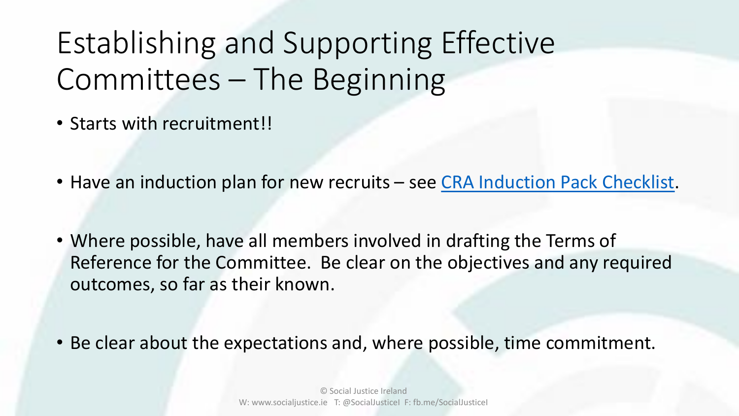## Establishing and Supporting Effective Committees – The Beginning

- Starts with recruitment!!
- Have an induction plan for new recruits see [CRA Induction Pack Checklist.](https://www.charitiesregulator.ie/media/1720/induction-pack-checklist.pdf)
- Where possible, have all members involved in drafting the Terms of Reference for the Committee. Be clear on the objectives and any required outcomes, so far as their known.
- Be clear about the expectations and, where possible, time commitment.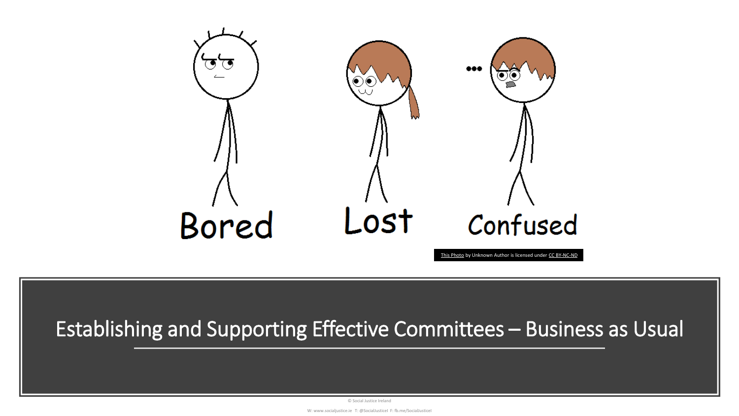

### Establishing and Supporting Effective Committees – Business as Usual

© Social Justice Ireland

W: www.socialjustice.ie T: @SocialJusticeI F: fb.me/SocialJusticeI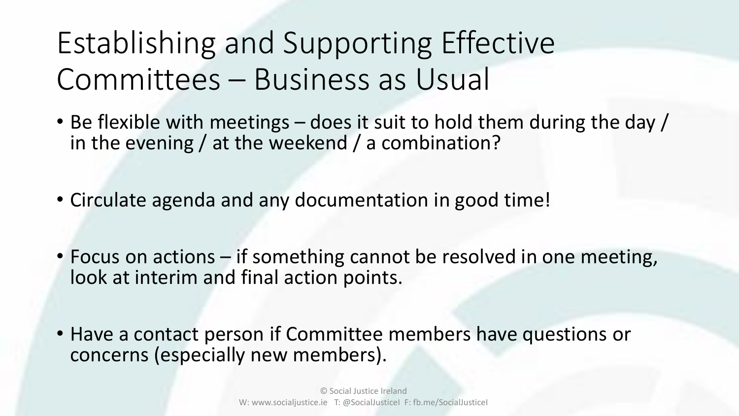Establishing and Supporting Effective Committees – Business as Usual

- Be flexible with meetings does it suit to hold them during the day / in the evening / at the weekend / a combination?
- Circulate agenda and any documentation in good time!
- Focus on actions if something cannot be resolved in one meeting, look at interim and final action points.
- Have a contact person if Committee members have questions or concerns (especially new members).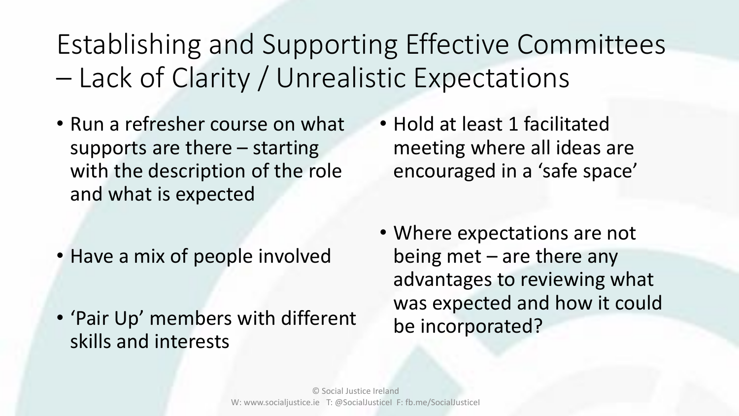Establishing and Supporting Effective Committees – Lack of Clarity / Unrealistic Expectations

- Run a refresher course on what supports are there – starting with the description of the role and what is expected
- Have a mix of people involved
- 'Pair Up' members with different skills and interests
- Hold at least 1 facilitated meeting where all ideas are encouraged in a 'safe space'
- Where expectations are not being met – are there any advantages to reviewing what was expected and how it could be incorporated?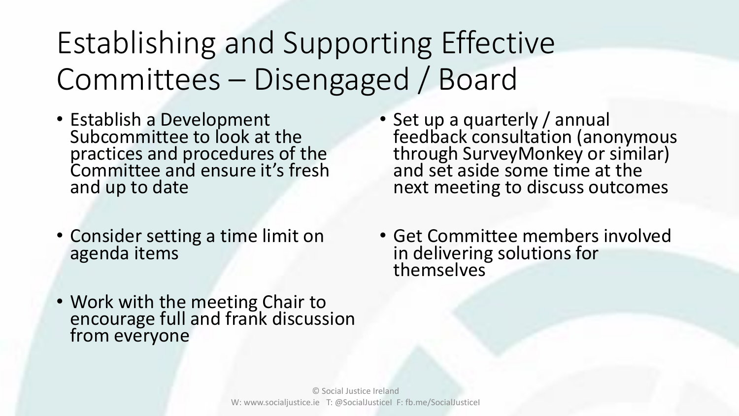## Establishing and Supporting Effective Committees – Disengaged / Board

- Establish a Development Subcommittee to look at the practices and procedures of the Committee and ensure it's fresh and up to date
- Consider setting a time limit on agenda items
- Work with the meeting Chair to encourage full and frank discussion from everyone
- Set up a quarterly / annual feedback consultation (anonymous through SurveyMonkey or similar) and set aside some time at the next meeting to discuss outcomes
- Get Committee members involved in delivering solutions for themselves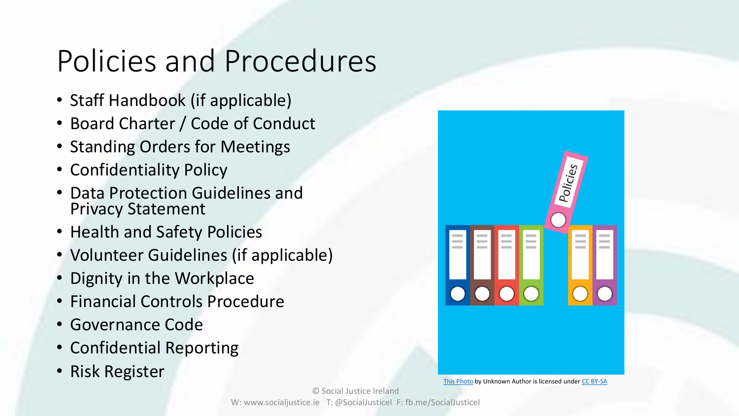### Policies and Procedures

- Staff Handbook (if applicable)
- Board Charter / Code of Conduct
- Standing Orders for Meetings
- Confidentiality Policy
- Data Protection Guidelines and Privacy Statement
- Health and Safety Policies
- Volunteer Guidelines (if applicable)
- Dignity in the Workplace
- Financial Controls Procedure
- Governance Code
- Confidential Reporting
- Risk Register



[This Photo](http://senaidasneed886.wikidot.com/) by Unknown Author is licensed under [CC BY-SA](https://creativecommons.org/licenses/by-sa/3.0/)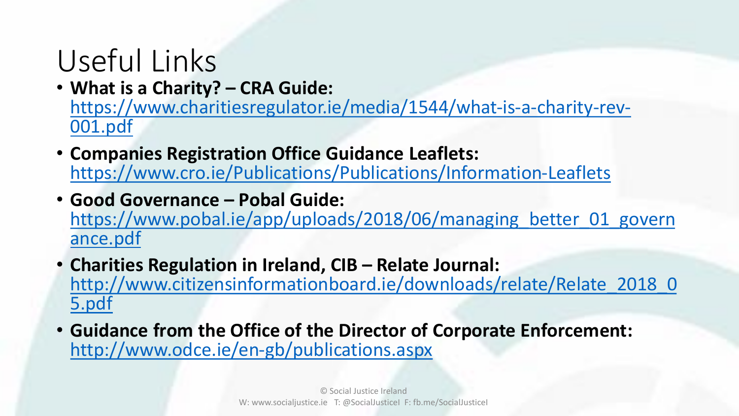### Useful Links

• **What is a Charity? – CRA Guide:** 

[https://www.charitiesregulator.ie/media/1544/what-is-a-charity-rev-](https://www.charitiesregulator.ie/media/1544/what-is-a-charity-rev-001.pdf)001.pdf

- **Companies Registration Office Guidance Leaflets:**  <https://www.cro.ie/Publications/Publications/Information-Leaflets>
- **Good Governance – Pobal Guide:**  https://www.pobal.ie/app/uploads/2018/06/managing better 01 govern ance.pdf
- **Charities Regulation in Ireland, CIB – Relate Journal:**  [http://www.citizensinformationboard.ie/downloads/relate/Relate\\_2018\\_0](http://www.citizensinformationboard.ie/downloads/relate/Relate_2018_05.pdf) 5.pdf
- **Guidance from the Office of the Director of Corporate Enforcement:**  <http://www.odce.ie/en-gb/publications.aspx>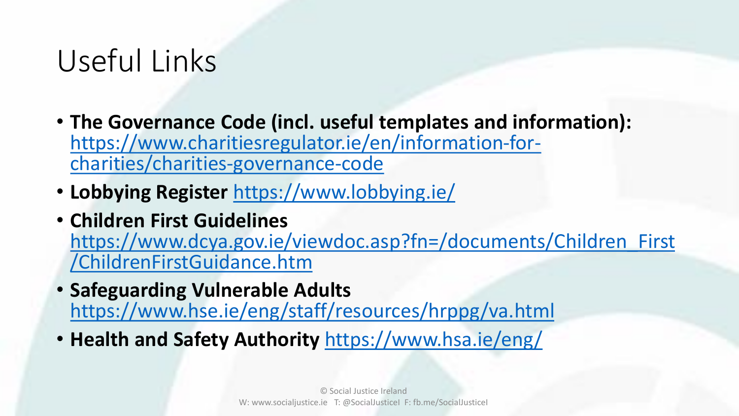### Useful Links

- **The Governance Code (incl. useful templates and information):**  [https://www.charitiesregulator.ie/en/information-for](https://www.charitiesregulator.ie/en/information-for-charities/charities-governance-code)charities/charities-governance-code
- **Lobbying Register** <https://www.lobbying.ie/>
- **Children First Guidelines**  [https://www.dcya.gov.ie/viewdoc.asp?fn=/documents/Children\\_First](https://www.dcya.gov.ie/viewdoc.asp?fn=/documents/Children_First/ChildrenFirstGuidance.htm) /ChildrenFirstGuidance.htm
- **Safeguarding Vulnerable Adults**  <https://www.hse.ie/eng/staff/resources/hrppg/va.html>
- **Health and Safety Authority** <https://www.hsa.ie/eng/>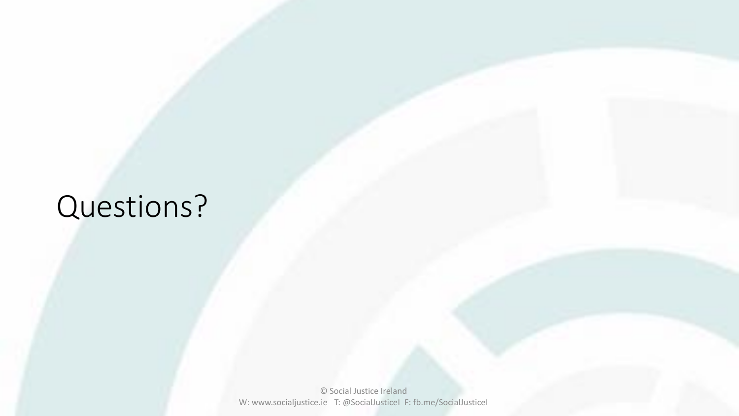### Questions?